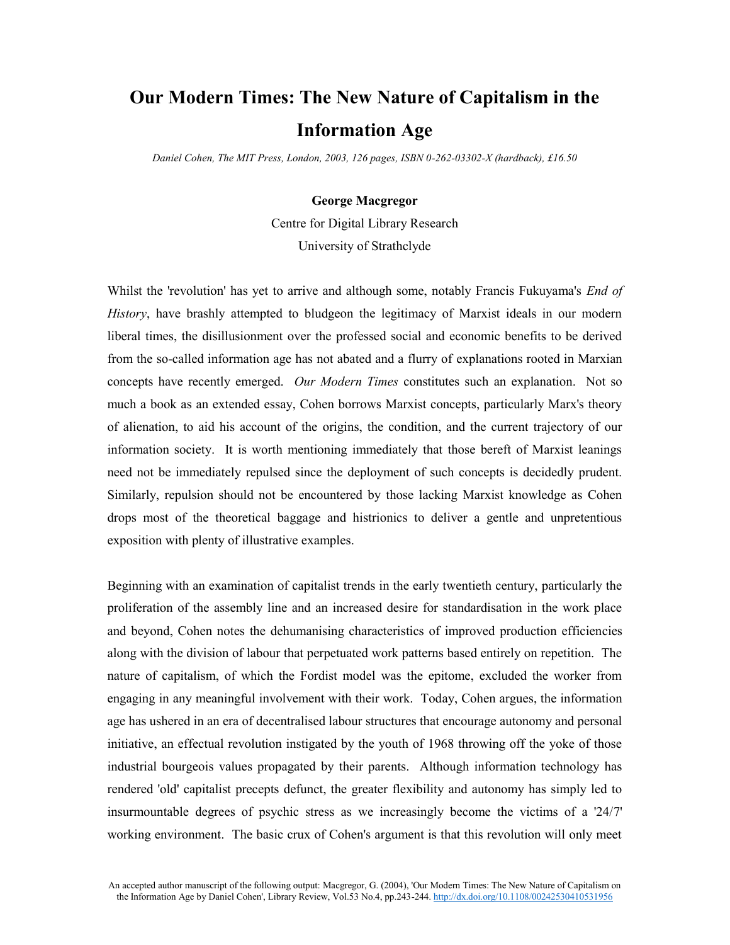## **Our Modern Times: The New Nature of Capitalism in the Information Age**

*Daniel Cohen, The MIT Press, London, 2003, 126 pages, ISBN 0-262-03302-X (hardback), £16.50*

## **George Macgregor**

Centre for Digital Library Research University of Strathclyde

Whilst the 'revolution' has yet to arrive and although some, notably Francis Fukuyama's *End of History*, have brashly attempted to bludgeon the legitimacy of Marxist ideals in our modern liberal times, the disillusionment over the professed social and economic benefits to be derived from the so-called information age has not abated and a flurry of explanations rooted in Marxian concepts have recently emerged. *Our Modern Times* constitutes such an explanation. Not so much a book as an extended essay, Cohen borrows Marxist concepts, particularly Marx's theory of alienation, to aid his account of the origins, the condition, and the current trajectory of our information society. It is worth mentioning immediately that those bereft of Marxist leanings need not be immediately repulsed since the deployment of such concepts is decidedly prudent. Similarly, repulsion should not be encountered by those lacking Marxist knowledge as Cohen drops most of the theoretical baggage and histrionics to deliver a gentle and unpretentious exposition with plenty of illustrative examples.

Beginning with an examination of capitalist trends in the early twentieth century, particularly the proliferation of the assembly line and an increased desire for standardisation in the work place and beyond, Cohen notes the dehumanising characteristics of improved production efficiencies along with the division of labour that perpetuated work patterns based entirely on repetition. The nature of capitalism, of which the Fordist model was the epitome, excluded the worker from engaging in any meaningful involvement with their work. Today, Cohen argues, the information age has ushered in an era of decentralised labour structures that encourage autonomy and personal initiative, an effectual revolution instigated by the youth of 1968 throwing off the yoke of those industrial bourgeois values propagated by their parents. Although information technology has rendered 'old' capitalist precepts defunct, the greater flexibility and autonomy has simply led to insurmountable degrees of psychic stress as we increasingly become the victims of a '24/7' working environment. The basic crux of Cohen's argument is that this revolution will only meet